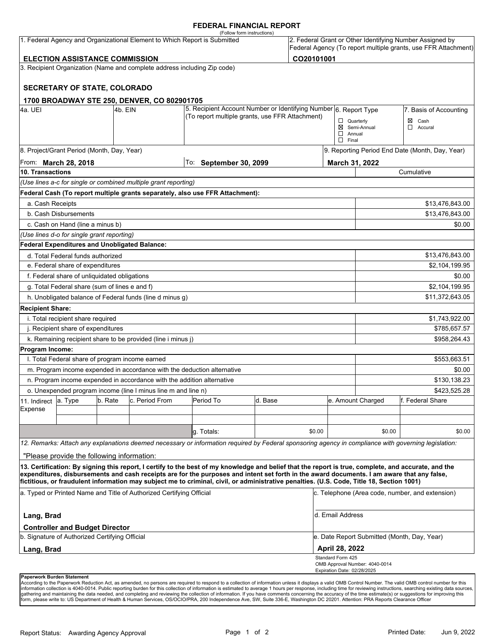#### **FEDERAL FINANCIAL REPORT**

|                         |                                                      |          |                                                                           | (Follow form instructions)                                                                                                                                                                                                                                                              |         |            |                                                   |                                             |                                                                                                                            |
|-------------------------|------------------------------------------------------|----------|---------------------------------------------------------------------------|-----------------------------------------------------------------------------------------------------------------------------------------------------------------------------------------------------------------------------------------------------------------------------------------|---------|------------|---------------------------------------------------|---------------------------------------------|----------------------------------------------------------------------------------------------------------------------------|
|                         |                                                      |          | 1. Federal Agency and Organizational Element to Which Report is Submitted |                                                                                                                                                                                                                                                                                         |         |            |                                                   |                                             | 2. Federal Grant or Other Identifying Number Assigned by<br>Federal Agency (To report multiple grants, use FFR Attachment) |
|                         | <b>ELECTION ASSISTANCE COMMISSION</b>                |          |                                                                           |                                                                                                                                                                                                                                                                                         |         | CO20101001 |                                                   |                                             |                                                                                                                            |
|                         |                                                      |          | 3. Recipient Organization (Name and complete address including Zip code)  |                                                                                                                                                                                                                                                                                         |         |            |                                                   |                                             |                                                                                                                            |
|                         | <b>SECRETARY OF STATE, COLORADO</b>                  |          |                                                                           |                                                                                                                                                                                                                                                                                         |         |            |                                                   |                                             |                                                                                                                            |
|                         |                                                      |          | 1700 BROADWAY STE 250, DENVER, CO 802901705                               |                                                                                                                                                                                                                                                                                         |         |            |                                                   |                                             |                                                                                                                            |
| 4a. UEI                 |                                                      | l4b. EIN |                                                                           | 5. Recipient Account Number or Identifying Number 6. Report Type<br>(To report multiple grants, use FFR Attachment)                                                                                                                                                                     |         |            |                                                   |                                             | 7. Basis of Accounting                                                                                                     |
|                         |                                                      |          |                                                                           |                                                                                                                                                                                                                                                                                         |         |            | $\Box$ Quarterly<br>$\Box$ Annual<br>$\Box$ Final | ⊠ Semi-Annual                               | $\boxtimes$ Cash<br>$\Box$ Accural                                                                                         |
|                         | 8. Project/Grant Period (Month, Day, Year)           |          |                                                                           |                                                                                                                                                                                                                                                                                         |         |            |                                                   |                                             | 9. Reporting Period End Date (Month, Day, Year)                                                                            |
|                         | From: March 28, 2018                                 |          |                                                                           | To:<br><b>September 30, 2099</b>                                                                                                                                                                                                                                                        |         |            | March 31, 2022                                    |                                             |                                                                                                                            |
| 10. Transactions        |                                                      |          |                                                                           |                                                                                                                                                                                                                                                                                         |         |            |                                                   |                                             | Cumulative                                                                                                                 |
|                         |                                                      |          | (Use lines a-c for single or combined multiple grant reporting)           |                                                                                                                                                                                                                                                                                         |         |            |                                                   |                                             |                                                                                                                            |
|                         |                                                      |          |                                                                           | Federal Cash (To report multiple grants separately, also use FFR Attachment):                                                                                                                                                                                                           |         |            |                                                   |                                             |                                                                                                                            |
| a. Cash Receipts        |                                                      |          |                                                                           |                                                                                                                                                                                                                                                                                         |         |            |                                                   |                                             | \$13,476,843.00                                                                                                            |
|                         | b. Cash Disbursements                                |          |                                                                           |                                                                                                                                                                                                                                                                                         |         |            |                                                   |                                             | \$13,476,843.00                                                                                                            |
|                         | c. Cash on Hand (line a minus b)                     |          |                                                                           |                                                                                                                                                                                                                                                                                         |         |            |                                                   |                                             | \$0.00                                                                                                                     |
|                         | (Use lines d-o for single grant reporting)           |          |                                                                           |                                                                                                                                                                                                                                                                                         |         |            |                                                   |                                             |                                                                                                                            |
|                         | <b>Federal Expenditures and Unobligated Balance:</b> |          |                                                                           |                                                                                                                                                                                                                                                                                         |         |            |                                                   |                                             |                                                                                                                            |
|                         | d. Total Federal funds authorized                    |          |                                                                           |                                                                                                                                                                                                                                                                                         |         |            |                                                   |                                             | \$13,476,843.00                                                                                                            |
|                         | e. Federal share of expenditures                     |          |                                                                           |                                                                                                                                                                                                                                                                                         |         |            |                                                   |                                             | \$2,104,199.95                                                                                                             |
|                         | f. Federal share of unliquidated obligations         |          |                                                                           |                                                                                                                                                                                                                                                                                         |         |            |                                                   |                                             | \$0.00                                                                                                                     |
|                         | g. Total Federal share (sum of lines e and f)        |          |                                                                           |                                                                                                                                                                                                                                                                                         |         |            |                                                   |                                             | \$2,104,199.95                                                                                                             |
|                         |                                                      |          | h. Unobligated balance of Federal funds (line d minus g)                  |                                                                                                                                                                                                                                                                                         |         |            |                                                   |                                             | \$11,372,643.05                                                                                                            |
| <b>Recipient Share:</b> |                                                      |          |                                                                           |                                                                                                                                                                                                                                                                                         |         |            |                                                   |                                             |                                                                                                                            |
|                         | i. Total recipient share required                    |          |                                                                           |                                                                                                                                                                                                                                                                                         |         |            |                                                   |                                             | \$1,743,922.00                                                                                                             |
|                         | j. Recipient share of expenditures                   |          |                                                                           |                                                                                                                                                                                                                                                                                         |         |            |                                                   |                                             | \$785,657.57                                                                                                               |
|                         |                                                      |          | k. Remaining recipient share to be provided (line i minus j)              |                                                                                                                                                                                                                                                                                         |         |            |                                                   |                                             | \$958,264.43                                                                                                               |
| Program Income:         |                                                      |          |                                                                           |                                                                                                                                                                                                                                                                                         |         |            |                                                   |                                             |                                                                                                                            |
|                         | I. Total Federal share of program income earned      |          |                                                                           |                                                                                                                                                                                                                                                                                         |         |            |                                                   |                                             | \$553,663.51                                                                                                               |
|                         |                                                      |          | m. Program income expended in accordance with the deduction alternative   |                                                                                                                                                                                                                                                                                         |         |            |                                                   |                                             | \$0.00                                                                                                                     |
|                         |                                                      |          | n. Program income expended in accordance with the addition alternative    |                                                                                                                                                                                                                                                                                         |         |            |                                                   |                                             | \$130,138.23                                                                                                               |
|                         |                                                      |          | o. Unexpended program income (line I minus line m and line n)             |                                                                                                                                                                                                                                                                                         |         |            |                                                   |                                             | \$423,525.28                                                                                                               |
| 11. Indirect            | a. Type                                              | b. Rate  | c. Period From                                                            | Period To                                                                                                                                                                                                                                                                               | d. Base |            |                                                   | e. Amount Charged                           | lf. Federal Share                                                                                                          |
| Expense                 |                                                      |          |                                                                           |                                                                                                                                                                                                                                                                                         |         |            |                                                   |                                             |                                                                                                                            |
|                         |                                                      |          |                                                                           |                                                                                                                                                                                                                                                                                         |         |            |                                                   |                                             |                                                                                                                            |
|                         |                                                      |          |                                                                           | g. Totals:                                                                                                                                                                                                                                                                              |         | \$0.00     |                                                   | \$0.00                                      | \$0.00                                                                                                                     |
|                         |                                                      |          |                                                                           | 12. Remarks: Attach any explanations deemed necessary or information required by Federal sponsoring agency in compliance with governing legislation:                                                                                                                                    |         |            |                                                   |                                             |                                                                                                                            |
|                         | "Please provide the following information:           |          |                                                                           |                                                                                                                                                                                                                                                                                         |         |            |                                                   |                                             |                                                                                                                            |
|                         |                                                      |          |                                                                           | 13. Certification: By signing this report, I certify to the best of my knowledge and belief that the report is true, complete, and accurate, and the                                                                                                                                    |         |            |                                                   |                                             |                                                                                                                            |
|                         |                                                      |          |                                                                           | expenditures, disbursements and cash receipts are for the purposes and intent set forth in the award documents. I am aware that any false,<br>fictitious, or fraudulent information may subject me to criminal, civil, or administrative penalties. (U.S. Code, Title 18, Section 1001) |         |            |                                                   |                                             |                                                                                                                            |
|                         |                                                      |          | a. Typed or Printed Name and Title of Authorized Certifying Official      |                                                                                                                                                                                                                                                                                         |         |            |                                                   |                                             | c. Telephone (Area code, number, and extension)                                                                            |
| Lang, Brad              | <b>Controller and Budget Director</b>                |          |                                                                           |                                                                                                                                                                                                                                                                                         |         |            | d. Email Address                                  |                                             |                                                                                                                            |
|                         | b. Signature of Authorized Certifying Official       |          |                                                                           |                                                                                                                                                                                                                                                                                         |         |            |                                                   | e. Date Report Submitted (Month, Day, Year) |                                                                                                                            |
|                         |                                                      |          |                                                                           |                                                                                                                                                                                                                                                                                         |         |            | April 28, 2022                                    |                                             |                                                                                                                            |
| Lang, Brad              |                                                      |          |                                                                           |                                                                                                                                                                                                                                                                                         |         |            | Standard Form 425                                 |                                             |                                                                                                                            |
|                         |                                                      |          |                                                                           |                                                                                                                                                                                                                                                                                         |         |            | Expiration Date: 02/28/2025                       | OMB Approval Number: 4040-0014              |                                                                                                                            |
|                         |                                                      |          |                                                                           |                                                                                                                                                                                                                                                                                         |         |            |                                                   |                                             |                                                                                                                            |

#### **Paperwork Burden Statement**

According to the Paperwork Reduction Act, as amended, no persons are required to respond to a collection of information unless it displays a valid OMB Control Number. The valid OMB control number for this<br>information colle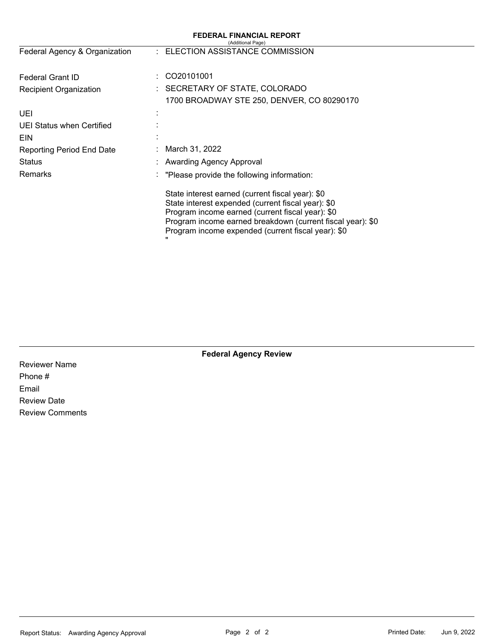|                               | <b>FEDERAL FINANCIAL REPORT</b><br>(Additional Page)                                                                                                                                                                                                                                |
|-------------------------------|-------------------------------------------------------------------------------------------------------------------------------------------------------------------------------------------------------------------------------------------------------------------------------------|
| Federal Agency & Organization | : ELECTION ASSISTANCE COMMISSION                                                                                                                                                                                                                                                    |
| Federal Grant ID              | CO20101001                                                                                                                                                                                                                                                                          |
| <b>Recipient Organization</b> | : SECRETARY OF STATE, COLORADO                                                                                                                                                                                                                                                      |
|                               | 1700 BROADWAY STE 250, DENVER, CO 80290170                                                                                                                                                                                                                                          |
| UEI                           |                                                                                                                                                                                                                                                                                     |
| UEI Status when Certified     |                                                                                                                                                                                                                                                                                     |
| <b>EIN</b>                    |                                                                                                                                                                                                                                                                                     |
| Reporting Period End Date     | March 31, 2022                                                                                                                                                                                                                                                                      |
| <b>Status</b>                 | Awarding Agency Approval                                                                                                                                                                                                                                                            |
| <b>Remarks</b>                | : "Please provide the following information:                                                                                                                                                                                                                                        |
|                               | State interest earned (current fiscal year): \$0<br>State interest expended (current fiscal year): \$0<br>Program income earned (current fiscal year): \$0<br>Program income earned breakdown (current fiscal year): \$0<br>Program income expended (current fiscal year): \$0<br>" |

**Federal Agency Review** 

Reviewer Name Phone # Email Review Date Review Comments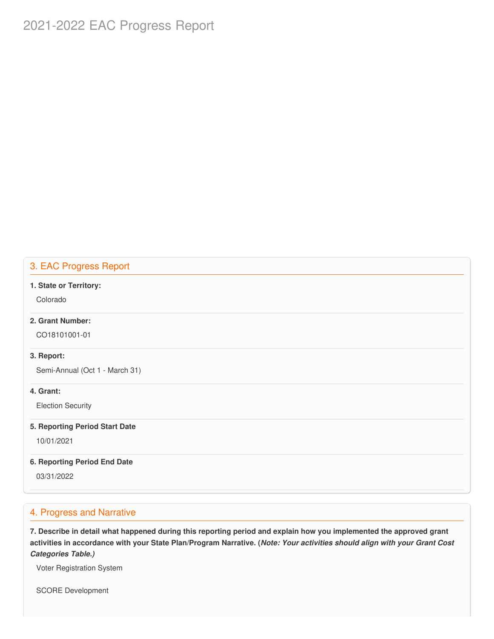# 2021-2022 EAC Progress Report

### 3. EAC Progress Report

#### **1. State or Territory:**

Colorado

# **2. Grant Number:**

CO18101001-01

#### **3. Report:**

Semi-Annual (Oct 1 - March 31)

#### **4. Grant:**

Election Security

#### **5. Reporting Period Start Date**

10/01/2021

#### **6. Reporting Period End Date**

03/31/2022

# 4. Progress and Narrative

7. Describe in detail what happened during this reporting period and explain how you implemented the approved grant activities in accordance with your State Plan/Program Narrative. (*Note: Your activities should align with your Grant Cost Categories Table.)*

Voter Registration System

SCORE Development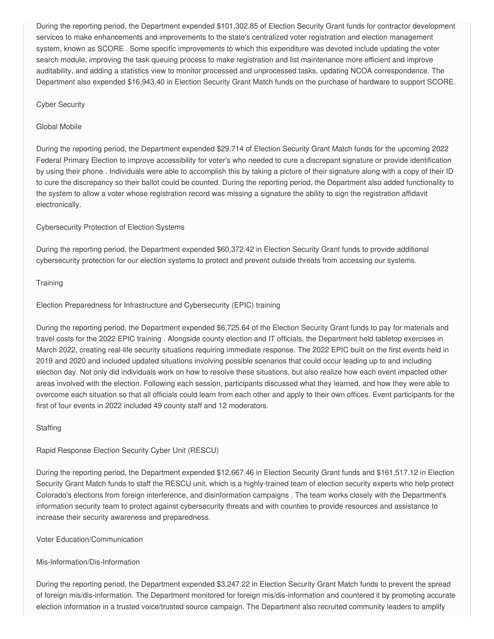During the reporting period, the Department expended \$[101,302.85](https://101,302.85) of Election Security Grant funds for contractor development services to make enhancements and improvements to the state's centralized voter registration and election management system, known as SCORE . Some specific improvements to which this expenditure was devoted include updating the voter search module, improving the task queuing process to make registration and list maintenance more efficient and improve auditability, and adding a statistics view to monitor processed and unprocessed tasks, updating NCOA correspondence. The Department also expended [\\$16,943.40](https://16,943.40) in Election Security Grant Match funds on the purchase of hardware to support SCORE.

#### Cyber Security

#### Global Mobile

 During the reporting period, the Department expended \$29,714 of Election Security Grant Match funds for the upcoming 2022 Federal Primary Election to improve accessibility for voter's who needed to cure a discrepant signature or provide identification by using their phone . Individuals were able to accomplish this by taking a picture of their signature along with a copy of their ID to cure the discrepancy so their ballot could be counted. During the reporting period, the Department also added functionality to the system to allow a voter whose registration record was missing a signature the ability to sign the registration affidavit electronically.

#### Cybersecurity Protection of Election Systems

 During the reporting period, the Department expended \$[60,372.42](https://60,372.42) in Election Security Grant funds to provide additional cybersecurity protection for our election systems to protect and prevent outside threats from accessing our systems.

#### **Training**

#### Election Preparedness for Infrastructure and Cybersecurity (EPIC) training

 During the reporting period, the Department expended \$[6,725.64](https://6,725.64) of the Election Security Grant funds to pay for materials and travel costs for the 2022 EPIC training . Alongside county election and IT officials, the Department held tabletop exercises in March 2022, creating real-life security situations requiring immediate response. The 2022 EPIC built on the first events held in 2019 and 2020 and included updated situations involving possible scenarios that could occur leading up to and including election day. Not only did individuals work on how to resolve these situations, but also realize how each event impacted other areas involved with the election. Following each session, participants discussed what they learned, and how they were able to overcome each situation so that all officials could learn from each other and apply to their own offices. Event participants for the first of four events in 2022 included 49 county staff and 12 moderators.

#### **Staffing**

#### Rapid Response Election Security Cyber Unit (RESCU)

 During the reporting period, the Department expended \$[12,667.46](https://12,667.46) in Election Security Grant funds and [\\$161,517.12](https://161,517.12) in Election Security Grant Match funds to staff the RESCU unit, which is a highly-trained team of election security experts who help protect Colorado's elections from foreign interference, and disinformation campaigns . The team works closely with the Department's information security team to protect against cybersecurity threats and with counties to provide resources and assistance to increase their security awareness and preparedness.

#### Voter Education/Communication

#### Mis-Information/Dis-Information

 During the reporting period, the Department expended \$[3,247.22](https://3,247.22) in Election Security Grant Match funds to prevent the spread of foreign mis/dis-information. The Department monitored for foreign mis/dis-information and countered it by promoting accurate election information in a trusted voice/trusted source campaign. The Department also recruited community leaders to amplify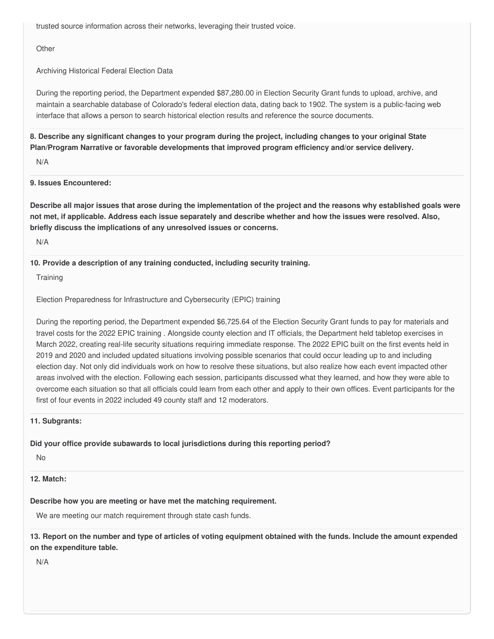trusted source information across their networks, leveraging their trusted voice.

**Other** 

Archiving Historical Federal Election Data

 During the reporting period, the Department expended \$[87,280.00](https://87,280.00) in Election Security Grant funds to upload, archive, and maintain a searchable database of Colorado's federal election data, dating back to 1902. The system is a public-facing web interface that allows a person to search historical election results and reference the source documents.

8. Describe any significant changes to your program during the project, including changes to your original State  **Plan/Program Narrative or favorable developments that improved program efficiency and/or service delivery.**

N/A

**9. Issues Encountered:**

Describe all major issues that arose during the implementation of the project and the reasons why established goals were not met, if applicable. Address each issue separately and describe whether and how the issues were resolved. Also,  **briefly discuss the implications of any unresolved issues or concerns.**

N/A

 **10. Provide a description of any training conducted, including security training.**

**Training** 

Election Preparedness for Infrastructure and Cybersecurity (EPIC) training

 During the reporting period, the Department expended \$[6,725.64](https://6,725.64) of the Election Security Grant funds to pay for materials and travel costs for the 2022 EPIC training . Alongside county election and IT officials, the Department held tabletop exercises in March 2022, creating real-life security situations requiring immediate response. The 2022 EPIC built on the first events held in 2019 and 2020 and included updated situations involving possible scenarios that could occur leading up to and including election day. Not only did individuals work on how to resolve these situations, but also realize how each event impacted other areas involved with the election. Following each session, participants discussed what they learned, and how they were able to overcome each situation so that all officials could learn from each other and apply to their own offices. Event participants for the first of four events in 2022 included 49 county staff and 12 moderators.

#### **11. Subgrants:**

 **Did your office provide subawards to local jurisdictions during this reporting period?**

No

**12. Match:**

 **Describe how you are meeting or have met the matching requirement.**

We are meeting our match requirement through state cash funds.

13. Report on the number and type of articles of voting equipment obtained with the funds. Include the amount expended  **on the expenditure table.**

N/A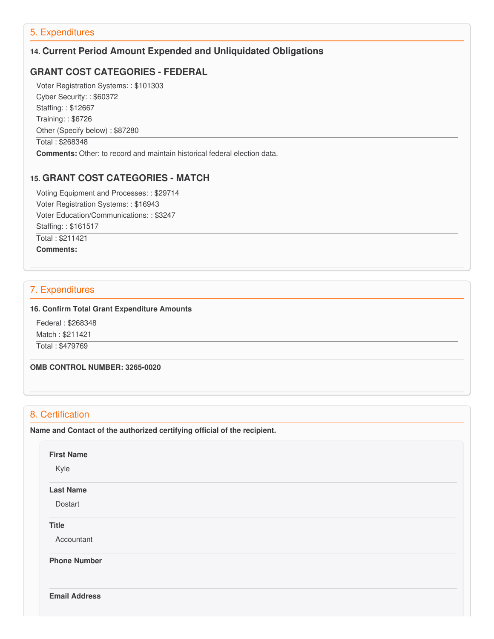# 5. Expenditures

# **14. Current Period Amount Expended and Unliquidated Obligations**

# **GRANT COST CATEGORIES - FEDERAL**

 Voter Registration Systems: : \$101303 Cyber Security: : \$60372 Staffing: : \$12667 Training: : \$6726 Other (Specify below) : \$87280 Total : \$268348

**Comments:** Other: to record and maintain historical federal election data.

#### **15. GRANT COST CATEGORIES - MATCH**

 Voting Equipment and Processes: : \$29714 Voter Registration Systems: : \$16943 Voter Education/Communications: : \$3247 Staffing: : \$161517

Total : \$211421

**Comments:**

# 7. Expenditures

#### **16. Confirm Total Grant Expenditure Amounts**

 Federal : \$268348 Match : \$211421

Total : \$479769

 **OMB CONTROL NUMBER: 3265-0020**

# 8. Certification

 **Name and Contact of the authorized certifying official of the recipient.**